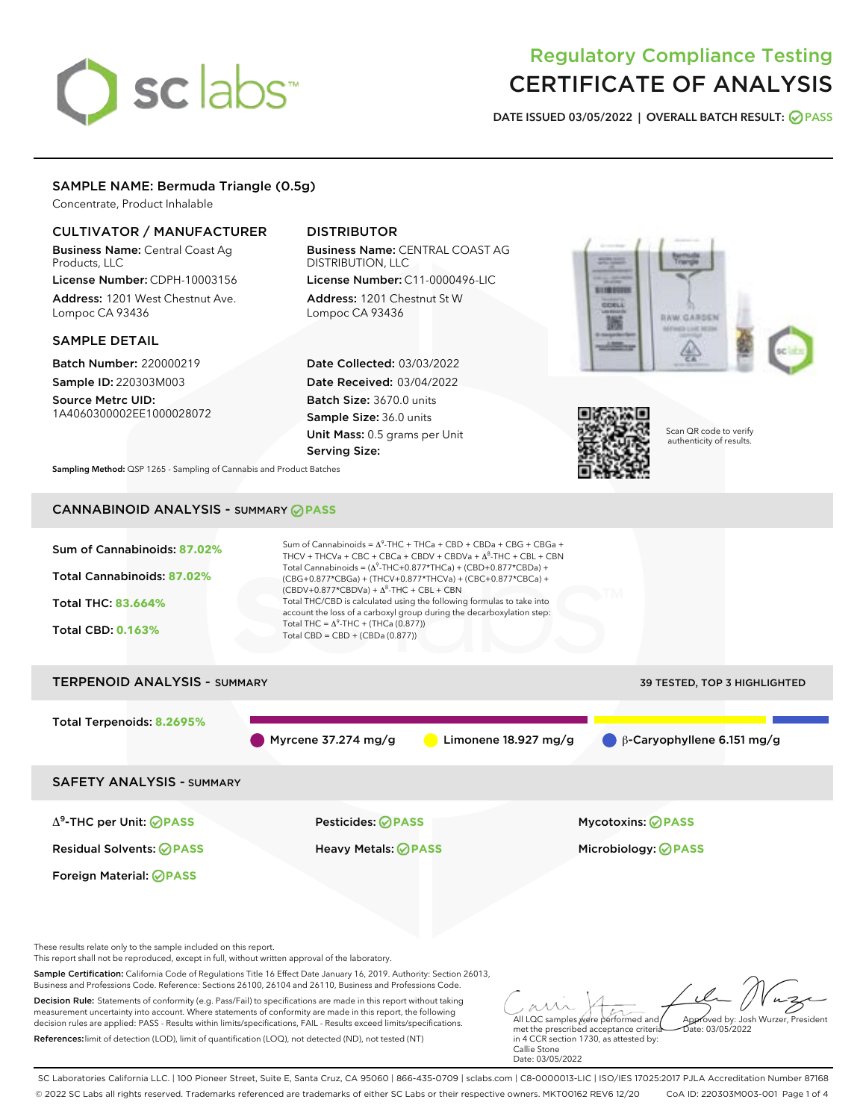# sclabs<sup>\*</sup>

## Regulatory Compliance Testing CERTIFICATE OF ANALYSIS

DATE ISSUED 03/05/2022 | OVERALL BATCH RESULT: @ PASS

#### SAMPLE NAME: Bermuda Triangle (0.5g)

Concentrate, Product Inhalable

#### CULTIVATOR / MANUFACTURER

Business Name: Central Coast Ag Products, LLC License Number: CDPH-10003156

Address: 1201 West Chestnut Ave. Lompoc CA 93436

#### SAMPLE DETAIL

Batch Number: 220000219 Sample ID: 220303M003

Source Metrc UID: 1A4060300002EE1000028072

#### DISTRIBUTOR

Business Name: CENTRAL COAST AG DISTRIBUTION, LLC License Number: C11-0000496-LIC

Address: 1201 Chestnut St W Lompoc CA 93436

Date Collected: 03/03/2022 Date Received: 03/04/2022 Batch Size: 3670.0 units Sample Size: 36.0 units Unit Mass: 0.5 grams per Unit Serving Size:





Scan QR code to verify authenticity of results.

Sampling Method: QSP 1265 - Sampling of Cannabis and Product Batches

### CANNABINOID ANALYSIS - SUMMARY **PASS**



SC Laboratories California LLC. | 100 Pioneer Street, Suite E, Santa Cruz, CA 95060 | 866-435-0709 | sclabs.com | C8-0000013-LIC | ISO/IES 17025:2017 PJLA Accreditation Number 87168 © 2022 SC Labs all rights reserved. Trademarks referenced are trademarks of either SC Labs or their respective owners. MKT00162 REV6 12/20 CoA ID: 220303M003-001 Page 1 of 4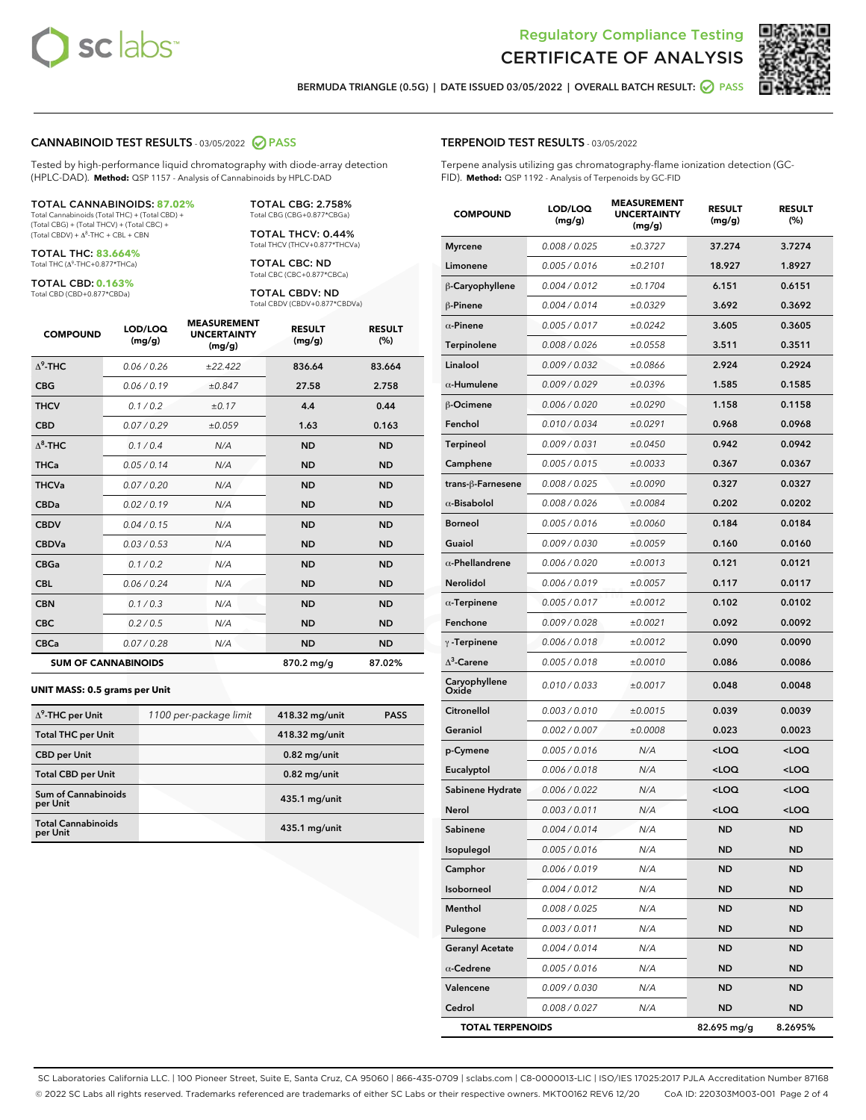



BERMUDA TRIANGLE (0.5G) | DATE ISSUED 03/05/2022 | OVERALL BATCH RESULT: @ PASS

#### CANNABINOID TEST RESULTS - 03/05/2022 2 PASS

Tested by high-performance liquid chromatography with diode-array detection (HPLC-DAD). **Method:** QSP 1157 - Analysis of Cannabinoids by HPLC-DAD

#### TOTAL CANNABINOIDS: **87.02%**

Total Cannabinoids (Total THC) + (Total CBD) + (Total CBG) + (Total THCV) + (Total CBC) +  $(Total$  CBDV) +  $\Delta$ <sup>8</sup>-THC + CBL + CBN

TOTAL THC: **83.664%** Total THC (Δ<sup>9</sup> -THC+0.877\*THCa)

TOTAL CBD: **0.163%**

Total CBD (CBD+0.877\*CBDa)

TOTAL CBG: 2.758% Total CBG (CBG+0.877\*CBGa)

TOTAL THCV: 0.44% Total THCV (THCV+0.877\*THCVa)

TOTAL CBC: ND Total CBC (CBC+0.877\*CBCa)

TOTAL CBDV: ND Total CBDV (CBDV+0.877\*CBDVa)

| <b>COMPOUND</b>  | LOD/LOQ<br>(mg/g)          | <b>MEASUREMENT</b><br><b>UNCERTAINTY</b><br>(mg/g) | <b>RESULT</b><br>(mg/g) | <b>RESULT</b><br>(%) |
|------------------|----------------------------|----------------------------------------------------|-------------------------|----------------------|
| $\Lambda^9$ -THC | 0.06 / 0.26                | ±22.422                                            | 836.64                  | 83.664               |
| <b>CBG</b>       | 0.06/0.19                  | ±0.847                                             | 27.58                   | 2.758                |
| <b>THCV</b>      | 0.1 / 0.2                  | ±0.17                                              | 4.4                     | 0.44                 |
| <b>CBD</b>       | 0.07/0.29                  | ±0.059                                             | 1.63                    | 0.163                |
| $\Delta^8$ -THC  | 0.1 / 0.4                  | N/A                                                | <b>ND</b>               | <b>ND</b>            |
| <b>THCa</b>      | 0.05/0.14                  | N/A                                                | <b>ND</b>               | <b>ND</b>            |
| <b>THCVa</b>     | 0.07/0.20                  | N/A                                                | <b>ND</b>               | <b>ND</b>            |
| <b>CBDa</b>      | 0.02/0.19                  | N/A                                                | <b>ND</b>               | <b>ND</b>            |
| <b>CBDV</b>      | 0.04 / 0.15                | N/A                                                | <b>ND</b>               | <b>ND</b>            |
| <b>CBDVa</b>     | 0.03/0.53                  | N/A                                                | <b>ND</b>               | <b>ND</b>            |
| <b>CBGa</b>      | 0.1 / 0.2                  | N/A                                                | <b>ND</b>               | <b>ND</b>            |
| <b>CBL</b>       | 0.06 / 0.24                | N/A                                                | <b>ND</b>               | <b>ND</b>            |
| <b>CBN</b>       | 0.1 / 0.3                  | N/A                                                | <b>ND</b>               | <b>ND</b>            |
| <b>CBC</b>       | 0.2 / 0.5                  | N/A                                                | <b>ND</b>               | <b>ND</b>            |
| <b>CBCa</b>      | 0.07/0.28                  | N/A                                                | <b>ND</b>               | <b>ND</b>            |
|                  | <b>SUM OF CANNABINOIDS</b> |                                                    | 870.2 mg/g              | 87.02%               |

#### **UNIT MASS: 0.5 grams per Unit**

| $\Delta^9$ -THC per Unit              | 1100 per-package limit | 418.32 mg/unit  | <b>PASS</b> |
|---------------------------------------|------------------------|-----------------|-------------|
| <b>Total THC per Unit</b>             |                        | 418.32 mg/unit  |             |
| <b>CBD per Unit</b>                   |                        | $0.82$ mg/unit  |             |
| <b>Total CBD per Unit</b>             |                        | $0.82$ mg/unit  |             |
| Sum of Cannabinoids<br>per Unit       |                        | $435.1$ mg/unit |             |
| <b>Total Cannabinoids</b><br>per Unit |                        | $435.1$ mg/unit |             |

| <b>COMPOUND</b>        | LOD/LOQ<br>(mg/g) | <b>MEASUREMENT</b><br><b>UNCERTAINTY</b><br>(mg/g) | <b>RESULT</b><br>(mg/g)                         | <b>RESULT</b><br>(%) |
|------------------------|-------------------|----------------------------------------------------|-------------------------------------------------|----------------------|
| <b>Myrcene</b>         | 0.008 / 0.025     | ±0.3727                                            | 37.274                                          | 3.7274               |
| Limonene               | 0.005 / 0.016     | ±0.2101                                            | 18.927                                          | 1.8927               |
| β-Caryophyllene        | 0.004 / 0.012     | ±0.1704                                            | 6.151                                           | 0.6151               |
| β-Pinene               | 0.004 / 0.014     | ±0.0329                                            | 3.692                                           | 0.3692               |
| $\alpha$ -Pinene       | 0.005 / 0.017     | ±0.0242                                            | 3.605                                           | 0.3605               |
| <b>Terpinolene</b>     | 0.008 / 0.026     | ±0.0558                                            | 3.511                                           | 0.3511               |
| Linalool               | 0.009 / 0.032     | ±0.0866                                            | 2.924                                           | 0.2924               |
| $\alpha$ -Humulene     | 0.009 / 0.029     | ±0.0396                                            | 1.585                                           | 0.1585               |
| β-Ocimene              | 0.006 / 0.020     | ±0.0290                                            | 1.158                                           | 0.1158               |
| Fenchol                | 0.010 / 0.034     | ±0.0291                                            | 0.968                                           | 0.0968               |
| <b>Terpineol</b>       | 0.009 / 0.031     | ±0.0450                                            | 0.942                                           | 0.0942               |
| Camphene               | 0.005 / 0.015     | ±0.0033                                            | 0.367                                           | 0.0367               |
| trans-ß-Farnesene      | 0.008 / 0.025     | ±0.0090                                            | 0.327                                           | 0.0327               |
| $\alpha$ -Bisabolol    | 0.008 / 0.026     | ±0.0084                                            | 0.202                                           | 0.0202               |
| <b>Borneol</b>         | 0.005 / 0.016     | ±0.0060                                            | 0.184                                           | 0.0184               |
| Guaiol                 | 0.009 / 0.030     | ±0.0059                                            | 0.160                                           | 0.0160               |
| $\alpha$ -Phellandrene | 0.006 / 0.020     | ±0.0013                                            | 0.121                                           | 0.0121               |
| <b>Nerolidol</b>       | 0.006 / 0.019     | ±0.0057                                            | 0.117                                           | 0.0117               |
| $\alpha$ -Terpinene    | 0.005 / 0.017     | ±0.0012                                            | 0.102                                           | 0.0102               |
| Fenchone               | 0.009 / 0.028     | ±0.0021                                            | 0.092                                           | 0.0092               |
| $\gamma$ -Terpinene    | 0.006 / 0.018     | ±0.0012                                            | 0.090                                           | 0.0090               |
| $\Delta^3$ -Carene     | 0.005 / 0.018     | ±0.0010                                            | 0.086                                           | 0.0086               |
| Caryophyllene<br>Oxide | 0.010 / 0.033     | ±0.0017                                            | 0.048                                           | 0.0048               |
| <b>Citronellol</b>     | 0.003 / 0.010     | ±0.0015                                            | 0.039                                           | 0.0039               |
| Geraniol               | 0.002 / 0.007     | ±0.0008                                            | 0.023                                           | 0.0023               |
| p-Cymene               | 0.005 / 0.016     | N/A                                                | <loq< td=""><td><loq< td=""></loq<></td></loq<> | <loq< td=""></loq<>  |
| Eucalyptol             | 0.006 / 0.018     | N/A                                                | <loq< td=""><td><loq< td=""></loq<></td></loq<> | <loq< td=""></loq<>  |
| Sabinene Hydrate       | 0.006 / 0.022     | N/A                                                | <loq< td=""><td><loq< td=""></loq<></td></loq<> | <loq< td=""></loq<>  |
| Nerol                  | 0.003 / 0.011     | N/A                                                | <loq< td=""><td><loq< td=""></loq<></td></loq<> | <loq< td=""></loq<>  |
| Sabinene               | 0.004 / 0.014     | N/A                                                | <b>ND</b>                                       | ND                   |
| Isopulegol             | 0.005 / 0.016     | N/A                                                | ND                                              | ND                   |
| Camphor                | 0.006 / 0.019     | N/A                                                | <b>ND</b>                                       | ND                   |
| Isoborneol             | 0.004 / 0.012     | N/A                                                | ND                                              | ND                   |
| Menthol                | 0.008 / 0.025     | N/A                                                | ND                                              | ND                   |
| Pulegone               | 0.003 / 0.011     | N/A                                                | ND                                              | ND                   |
| <b>Geranyl Acetate</b> | 0.004 / 0.014     | N/A                                                | ND                                              | ND                   |
| $\alpha$ -Cedrene      | 0.005 / 0.016     | N/A                                                | ND                                              | ND                   |
| Valencene              | 0.009 / 0.030     | N/A                                                | <b>ND</b>                                       | ND                   |

Cedrol 0.008 / 0.027 N/A ND ND TOTAL TERPENOIDS 82.695 mg/g 8.2695%

SC Laboratories California LLC. | 100 Pioneer Street, Suite E, Santa Cruz, CA 95060 | 866-435-0709 | sclabs.com | C8-0000013-LIC | ISO/IES 17025:2017 PJLA Accreditation Number 87168 © 2022 SC Labs all rights reserved. Trademarks referenced are trademarks of either SC Labs or their respective owners. MKT00162 REV6 12/20 CoA ID: 220303M003-001 Page 2 of 4

#### TERPENOID TEST RESULTS - 03/05/2022

Terpene analysis utilizing gas chromatography-flame ionization detection (GC-FID). **Method:** QSP 1192 - Analysis of Terpenoids by GC-FID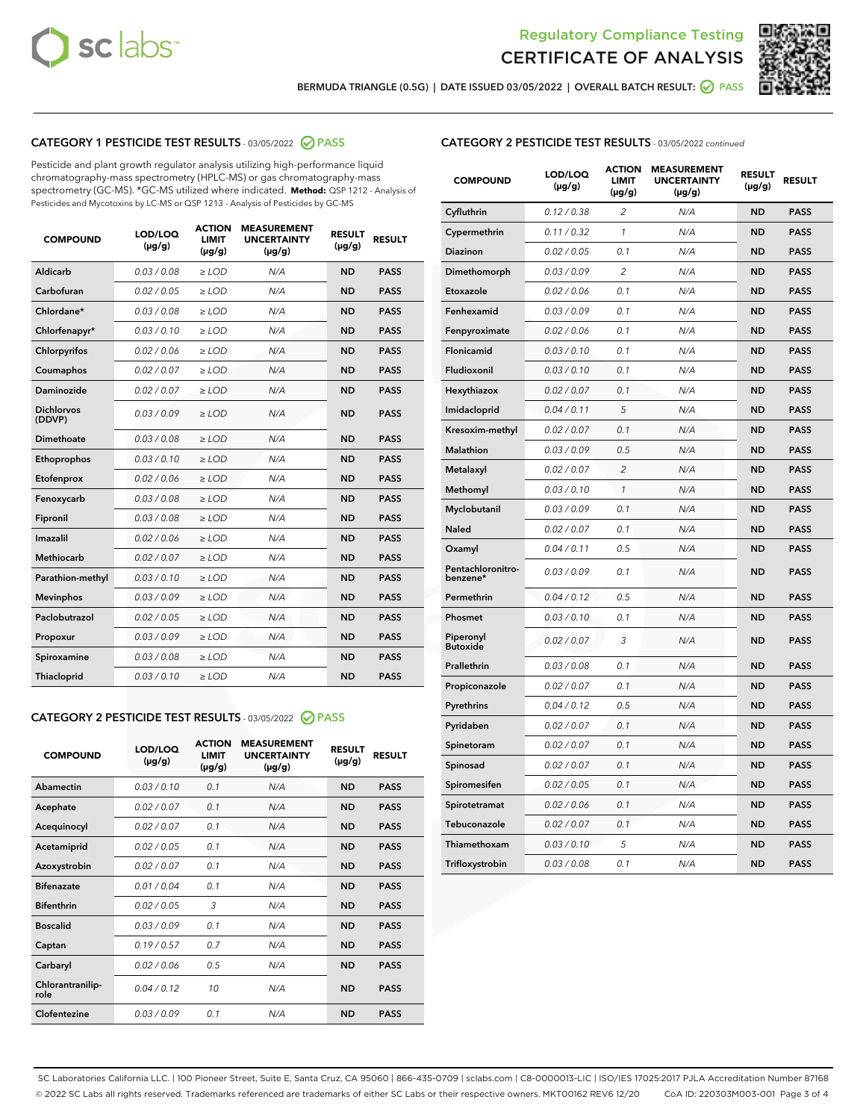



BERMUDA TRIANGLE (0.5G) | DATE ISSUED 03/05/2022 | OVERALL BATCH RESULT: @ PASS

#### CATEGORY 1 PESTICIDE TEST RESULTS - 03/05/2022 2 PASS

Pesticide and plant growth regulator analysis utilizing high-performance liquid chromatography-mass spectrometry (HPLC-MS) or gas chromatography-mass spectrometry (GC-MS). \*GC-MS utilized where indicated. **Method:** QSP 1212 - Analysis of Pesticides and Mycotoxins by LC-MS or QSP 1213 - Analysis of Pesticides by GC-MS

| <b>COMPOUND</b>             | LOD/LOQ<br>$(\mu g/g)$ | <b>ACTION</b><br>LIMIT<br>$(\mu g/g)$ | <b>MEASUREMENT</b><br><b>UNCERTAINTY</b><br>$(\mu g/g)$ | <b>RESULT</b><br>$(\mu g/g)$ | <b>RESULT</b> |
|-----------------------------|------------------------|---------------------------------------|---------------------------------------------------------|------------------------------|---------------|
| Aldicarb                    | 0.03 / 0.08            | $\ge$ LOD                             | N/A                                                     | <b>ND</b>                    | <b>PASS</b>   |
| Carbofuran                  | 0.02 / 0.05            | $>$ LOD                               | N/A                                                     | <b>ND</b>                    | <b>PASS</b>   |
| Chlordane*                  | 0.03/0.08              | $>$ LOD                               | N/A                                                     | <b>ND</b>                    | <b>PASS</b>   |
| Chlorfenapyr*               | 0.03/0.10              | $>$ LOD                               | N/A                                                     | <b>ND</b>                    | <b>PASS</b>   |
| Chlorpyrifos                | 0.02 / 0.06            | $>$ LOD                               | N/A                                                     | <b>ND</b>                    | <b>PASS</b>   |
| Coumaphos                   | 0.02 / 0.07            | $\ge$ LOD                             | N/A                                                     | <b>ND</b>                    | <b>PASS</b>   |
| Daminozide                  | 0.02 / 0.07            | $>$ LOD                               | N/A                                                     | <b>ND</b>                    | <b>PASS</b>   |
| <b>Dichlorvos</b><br>(DDVP) | 0.03 / 0.09            | $>$ LOD                               | N/A                                                     | <b>ND</b>                    | <b>PASS</b>   |
| <b>Dimethoate</b>           | 0.03 / 0.08            | $\ge$ LOD                             | N/A                                                     | <b>ND</b>                    | <b>PASS</b>   |
| Ethoprophos                 | 0.03/0.10              | $\ge$ LOD                             | N/A                                                     | <b>ND</b>                    | <b>PASS</b>   |
| Etofenprox                  | 0.02 / 0.06            | $\ge$ LOD                             | N/A                                                     | <b>ND</b>                    | <b>PASS</b>   |
| Fenoxycarb                  | 0.03/0.08              | $\ge$ LOD                             | N/A                                                     | <b>ND</b>                    | <b>PASS</b>   |
| Fipronil                    | 0.03/0.08              | $\ge$ LOD                             | N/A                                                     | <b>ND</b>                    | <b>PASS</b>   |
| <b>Imazalil</b>             | 0.02/0.06              | $>$ LOD                               | N/A                                                     | <b>ND</b>                    | <b>PASS</b>   |
| <b>Methiocarb</b>           | 0.02 / 0.07            | $\ge$ LOD                             | N/A                                                     | <b>ND</b>                    | <b>PASS</b>   |
| Parathion-methyl            | 0.03/0.10              | $\ge$ LOD                             | N/A                                                     | <b>ND</b>                    | <b>PASS</b>   |
| <b>Mevinphos</b>            | 0.03/0.09              | $>$ LOD                               | N/A                                                     | <b>ND</b>                    | <b>PASS</b>   |
| Paclobutrazol               | 0.02 / 0.05            | $>$ LOD                               | N/A                                                     | <b>ND</b>                    | <b>PASS</b>   |
| Propoxur                    | 0.03/0.09              | $\ge$ LOD                             | N/A                                                     | <b>ND</b>                    | <b>PASS</b>   |
| Spiroxamine                 | 0.03 / 0.08            | $\ge$ LOD                             | N/A                                                     | <b>ND</b>                    | <b>PASS</b>   |
| Thiacloprid                 | 0.03/0.10              | $>$ LOD                               | N/A                                                     | <b>ND</b>                    | <b>PASS</b>   |
|                             |                        |                                       |                                                         |                              |               |

#### CATEGORY 2 PESTICIDE TEST RESULTS - 03/05/2022 @ PASS

| <b>COMPOUND</b>          | LOD/LOQ<br>$(\mu g/g)$ | <b>ACTION</b><br><b>LIMIT</b><br>$(\mu g/g)$ | <b>MEASUREMENT</b><br><b>UNCERTAINTY</b><br>$(\mu g/g)$ | <b>RESULT</b><br>$(\mu g/g)$ | <b>RESULT</b> |
|--------------------------|------------------------|----------------------------------------------|---------------------------------------------------------|------------------------------|---------------|
| Abamectin                | 0.03/0.10              | 0.1                                          | N/A                                                     | <b>ND</b>                    | <b>PASS</b>   |
| Acephate                 | 0.02/0.07              | 0.1                                          | N/A                                                     | <b>ND</b>                    | <b>PASS</b>   |
| Acequinocyl              | 0.02/0.07              | 0.1                                          | N/A                                                     | <b>ND</b>                    | <b>PASS</b>   |
| Acetamiprid              | 0.02/0.05              | 0.1                                          | N/A                                                     | <b>ND</b>                    | <b>PASS</b>   |
| Azoxystrobin             | 0.02 / 0.07            | 0.1                                          | N/A                                                     | <b>ND</b>                    | <b>PASS</b>   |
| <b>Bifenazate</b>        | 0.01/0.04              | 0.1                                          | N/A                                                     | <b>ND</b>                    | <b>PASS</b>   |
| <b>Bifenthrin</b>        | 0.02 / 0.05            | 3                                            | N/A                                                     | <b>ND</b>                    | <b>PASS</b>   |
| <b>Boscalid</b>          | 0.03/0.09              | 0.1                                          | N/A                                                     | <b>ND</b>                    | <b>PASS</b>   |
| Captan                   | 0.19/0.57              | 0.7                                          | N/A                                                     | <b>ND</b>                    | <b>PASS</b>   |
| Carbaryl                 | 0.02/0.06              | 0.5                                          | N/A                                                     | <b>ND</b>                    | <b>PASS</b>   |
| Chlorantranilip-<br>role | 0.04/0.12              | 10                                           | N/A                                                     | <b>ND</b>                    | <b>PASS</b>   |
| Clofentezine             | 0.03/0.09              | 0.1                                          | N/A                                                     | <b>ND</b>                    | <b>PASS</b>   |

#### CATEGORY 2 PESTICIDE TEST RESULTS - 03/05/2022 continued

| <b>COMPOUND</b>               | LOD/LOQ<br>(µg/g) | <b>ACTION</b><br>LIMIT<br>(µg/g) | <b>MEASUREMENT</b><br><b>UNCERTAINTY</b><br>$(\mu g/g)$ | <b>RESULT</b><br>$(\mu g/g)$ | <b>RESULT</b> |
|-------------------------------|-------------------|----------------------------------|---------------------------------------------------------|------------------------------|---------------|
| Cyfluthrin                    | 0.12 / 0.38       | 2                                | N/A                                                     | <b>ND</b>                    | <b>PASS</b>   |
| Cypermethrin                  | 0.11/0.32         | 1                                | N/A                                                     | <b>ND</b>                    | <b>PASS</b>   |
| <b>Diazinon</b>               | 0.02 / 0.05       | 0.1                              | N/A                                                     | <b>ND</b>                    | <b>PASS</b>   |
| Dimethomorph                  | 0.03 / 0.09       | 2                                | N/A                                                     | <b>ND</b>                    | <b>PASS</b>   |
| Etoxazole                     | 0.02 / 0.06       | 0.1                              | N/A                                                     | <b>ND</b>                    | <b>PASS</b>   |
| Fenhexamid                    | 0.03 / 0.09       | 0.1                              | N/A                                                     | <b>ND</b>                    | <b>PASS</b>   |
| Fenpyroximate                 | 0.02 / 0.06       | 0.1                              | N/A                                                     | <b>ND</b>                    | <b>PASS</b>   |
| Flonicamid                    | 0.03 / 0.10       | 0.1                              | N/A                                                     | <b>ND</b>                    | <b>PASS</b>   |
| Fludioxonil                   | 0.03 / 0.10       | 0.1                              | N/A                                                     | <b>ND</b>                    | <b>PASS</b>   |
| Hexythiazox                   | 0.02 / 0.07       | 0.1                              | N/A                                                     | <b>ND</b>                    | <b>PASS</b>   |
| Imidacloprid                  | 0.04 / 0.11       | 5                                | N/A                                                     | <b>ND</b>                    | <b>PASS</b>   |
| Kresoxim-methyl               | 0.02 / 0.07       | 0.1                              | N/A                                                     | <b>ND</b>                    | <b>PASS</b>   |
| <b>Malathion</b>              | 0.03 / 0.09       | 0.5                              | N/A                                                     | <b>ND</b>                    | <b>PASS</b>   |
| Metalaxyl                     | 0.02 / 0.07       | $\overline{c}$                   | N/A                                                     | <b>ND</b>                    | <b>PASS</b>   |
| Methomyl                      | 0.03 / 0.10       | 1                                | N/A                                                     | <b>ND</b>                    | <b>PASS</b>   |
| Myclobutanil                  | 0.03/0.09         | 0.1                              | N/A                                                     | <b>ND</b>                    | <b>PASS</b>   |
| Naled                         | 0.02 / 0.07       | 0.1                              | N/A                                                     | <b>ND</b>                    | <b>PASS</b>   |
| Oxamyl                        | 0.04 / 0.11       | 0.5                              | N/A                                                     | <b>ND</b>                    | <b>PASS</b>   |
| Pentachloronitro-<br>benzene* | 0.03/0.09         | 0.1                              | N/A                                                     | <b>ND</b>                    | <b>PASS</b>   |
| Permethrin                    | 0.04 / 0.12       | 0.5                              | N/A                                                     | <b>ND</b>                    | <b>PASS</b>   |
| Phosmet                       | 0.03 / 0.10       | 0.1                              | N/A                                                     | <b>ND</b>                    | <b>PASS</b>   |
| Piperonyl<br><b>Butoxide</b>  | 0.02 / 0.07       | 3                                | N/A                                                     | <b>ND</b>                    | <b>PASS</b>   |
| Prallethrin                   | 0.03 / 0.08       | 0.1                              | N/A                                                     | <b>ND</b>                    | <b>PASS</b>   |
| Propiconazole                 | 0.02 / 0.07       | 0.1                              | N/A                                                     | <b>ND</b>                    | <b>PASS</b>   |
| Pyrethrins                    | 0.04 / 0.12       | 0.5                              | N/A                                                     | <b>ND</b>                    | <b>PASS</b>   |
| Pyridaben                     | 0.02 / 0.07       | 0.1                              | N/A                                                     | <b>ND</b>                    | <b>PASS</b>   |
| Spinetoram                    | 0.02 / 0.07       | 0.1                              | N/A                                                     | <b>ND</b>                    | <b>PASS</b>   |
| Spinosad                      | 0.02 / 0.07       | 0.1                              | N/A                                                     | <b>ND</b>                    | <b>PASS</b>   |
| Spiromesifen                  | 0.02 / 0.05       | 0.1                              | N/A                                                     | <b>ND</b>                    | <b>PASS</b>   |
| Spirotetramat                 | 0.02 / 0.06       | 0.1                              | N/A                                                     | <b>ND</b>                    | <b>PASS</b>   |
| Tebuconazole                  | 0.02 / 0.07       | 0.1                              | N/A                                                     | <b>ND</b>                    | <b>PASS</b>   |
| Thiamethoxam                  | 0.03 / 0.10       | 5                                | N/A                                                     | <b>ND</b>                    | <b>PASS</b>   |
| Trifloxystrobin               | 0.03 / 0.08       | 0.1                              | N/A                                                     | <b>ND</b>                    | <b>PASS</b>   |

SC Laboratories California LLC. | 100 Pioneer Street, Suite E, Santa Cruz, CA 95060 | 866-435-0709 | sclabs.com | C8-0000013-LIC | ISO/IES 17025:2017 PJLA Accreditation Number 87168 © 2022 SC Labs all rights reserved. Trademarks referenced are trademarks of either SC Labs or their respective owners. MKT00162 REV6 12/20 CoA ID: 220303M003-001 Page 3 of 4